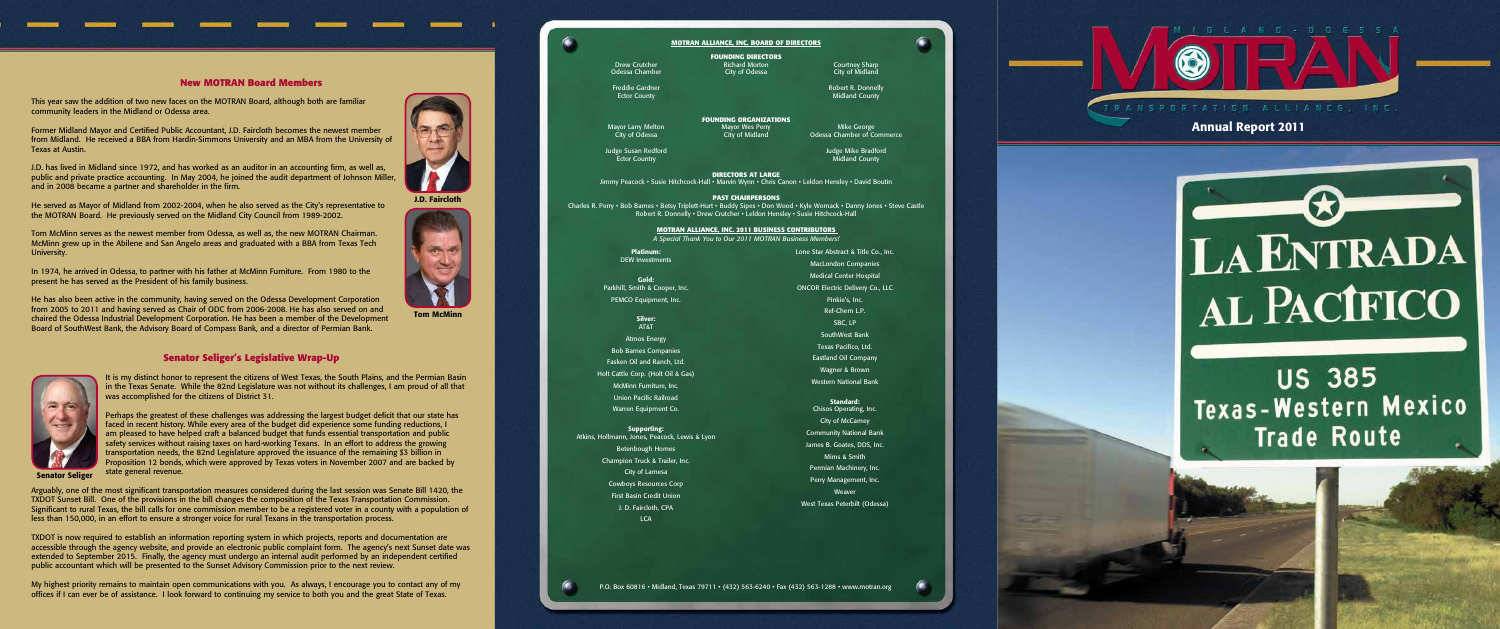### **New MOTRAN Board Members**

This year saw the addition of two new faces on the MOTRAN Board, although both are familiar community leaders in the Midland or Odessa area.

Former Midland Mayor and Certified Public Accountant, J.D. Faircloth becomes the newest member from Midland. He received a BBA from Hardin-Simmons University and an MBA from the University of Texas at Austin.

J.D. has lived in Midland since 1972, and has worked as an auditor in an accounting firm, as well as, public and private practice accounting. In May 2004, he joined the audit department of Johnson Miller, and in 2008 became a partner and shareholder in the firm.

He served as Mayor of Midland from 2002-2004, when he also served as the City's representative to the MOTRAN Board. He previously served on the Midland City Council from 1989-2002.

Tom McMinn serves as the newest member from Odessa, as well as, the new MOTRAN Chairman. McMinn grew up in the Abilene and San Angelo areas and graduated with a BBA from Texas Tech University.

In 1974, he arrived in Odessa, to partner with his father at McMinn Furniture. From 1980 to the present he has served as the President of his family business.

He has also been active in the community, having served on the Odessa Development Corporation from 2005 to 2011 and having served as Chair of ODC from 2006-2008. He has also served on and chaired the Odessa Industrial Development Corporation. He has been a member of the Development Board of SouthWest Bank, the Advisory Board of Compass Bank, and a director of Permian Bank.

# **Senator Seliger's Legislative Wrap-Up**

It is my distinct honor to represent the citizens of West Texas, the South Plains, and the Permian Basin in the Texas Senate. While the 82nd Legislature was not without its challenges, I am proud of all that was accomplished for the citizens of District 31.

Mayor Larry Melton Mayor Wes Perry Mayor Mayor Mike George<br>City of Odessa Chamber of Constant City of Midland Odessa Chamber of Co City of Odessa City of Midland Odessa Chamber of Commerce

**Ector Country Country County County** County County County County County County County

Perhaps the greatest of these challenges was addressing the largest budget deficit that our state has faced in recent history. While every area of the budget did experience some funding reductions, I am pleased to have helped craft a balanced budget that funds essential transportation and public safety services without raising taxes on hard-working Texans. In an effort to address the growing transportation needs, the 82nd Legislature approved the issuance of the remaining \$3 billion in Proposition 12 bonds, which were approved by Texas voters in November 2007 and are backed by state general revenue.

Supporting: Atkins, Hollmann, Jones, Peacock, Lewis & Lyon Betenbough Homes Champion Truck & Trailer, Inc. City of Lamesa Cowboys Resources Corp First Basin Credit Union J. D. Faircloth, CPA **LCA** 

Arguably, one of the most significant transportation measures considered during the last session was Senate Bill 1420, the TXDOT Sunset Bill. One of the provisions in the bill changes the composition of the Texas Transportation Commission. Significant to rural Texas, the bill calls for one commission member to be a registered voter in a county with a population of less than 150,000, in an effort to ensure a stronger voice for rural Texans in the transportation process.

TXDOT is now required to establish an information reporting system in which projects, reports and documentation are accessible through the agency website, and provide an electronic public complaint form. The agency's next Sunset date was extended to September 2015. Finally, the agency must undergo an internal audit performed by an independent certified public accountant which will be presented to the Sunset Advisory Commission prior to the next review.

My highest priority remains to maintain open communications with you. As always, I encourage you to contact any of my offices if I can ever be of assistance. I look forward to continuing my service to both you and the great State of Texas.

J.D. Faircloth

Tom McMinn



Senator Seliger

### **MOTRAN ALLIANCE, INC. BOARD OF DIRECTORS**

**Ector County Midland County Midland County** 

**FOUNDING DIRECTORS**

Freddie Gardner **Robert R. Donnelly** 

◉



**FOUNDING ORGANIZATIONS**

Judge Susan Redford Judge Mike Bradford

 **DIRECTORS AT LARGE** Jimmy Peacock • Susie Hitchcock-Hall • Marvin Wynn • Chris Canon • Leldon Hensley • David Boutin

**PAST CHAIRPERSONS**

Charles R. Perry • Bob Barnes • Betsy Triplett-Hurt • Buddy Sipes • Don Wood • Kyle Womack • Danny Jones • Steve Castle

Robert R. Donnelly • Drew Crutcher • Leldon Hensley • Susie Hitchcock-Hall

Platinum: DEW Investments

Gold: Parkhill, Smith & Cooper, Inc. PEMCO Equipment, Inc.

> Silver: AT&T

Atmos Energy Bob Barnes Companies Fasken Oil and Ranch, Ltd. Holt Cattle Corp. (Holt Oil & Gas)

McMinn Furniture, Inc.

Union Pacific Railroad

Warren Equipment Co.

Lone Star Abstract & Title Co., Inc. MacLondon Companies Medical Center Hospital ONCOR Electric Delivery Co., LLC Pinkie's, Inc. Ref-Chem L.P. SBC, LP SouthWest Bank Texas Pacifico, Ltd. Eastland Oil Company Wagner & Brown Western National Bank

Standard: Chisos Operating, Inc. City of McCamey Community National Bank James B. Goates, DDS, Inc. Mims & Smith Permian Machinery, Inc. Perry Management, Inc. Weaver West Texas Peterbilt (Odessa) RANSPORTATION ALLIANCE

P.O. Box 60816 • Midland, Texas 79711 • (432) 563-6240 • Fax (432) 563-1288 • www.motran.org

**MOTRAN Alliance, Inc. 2011 Business Contributors** *A Special Thank You to Our 2011 MOTRAN Business Members!* Annual Report 2011



**US 385** Texas-Western Mexico **Trade Route**